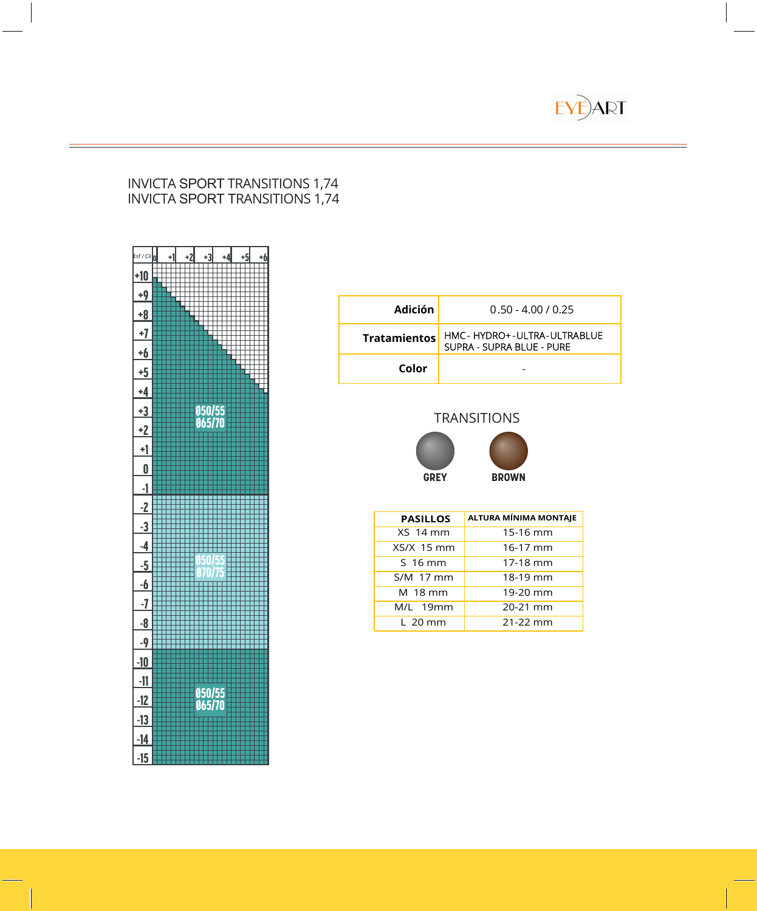

#### INVICTA SPORT TRANSITIONS 1,74 INVICTA SPORT TRANSITIONS 1,74



| <b>Adición</b>      | $0.50 - 4.00 / 0.25$                                    |
|---------------------|---------------------------------------------------------|
| <b>Tratamientos</b> | HMC-HYDRO+-ULTRA-ULTRABLUE<br>SUPRA - SUPRA BLUE - PURE |
| Color               |                                                         |

# **TRANSITIONS**



| <b>PASILLOS</b> | <b>ALTURA MÍNIMA MONTAJE</b> |
|-----------------|------------------------------|
| <b>XS 14 mm</b> | 15-16 mm                     |
| XS/X 15 mm      | 16-17 mm                     |
| S 16 mm         | 17-18 mm                     |
| S/M 17 mm       | 18-19 mm                     |
| M 18 mm         | 19-20 mm                     |
| M/L 19mm        | 20-21 mm                     |
| $L$ 20 mm       | 21-22 mm                     |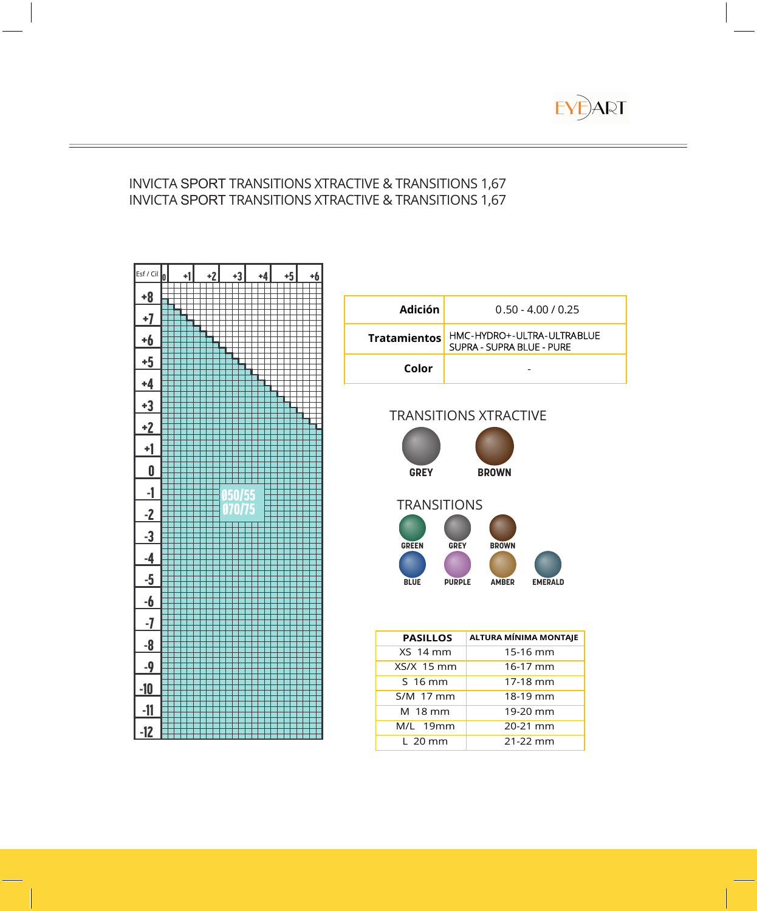

### INVICTA SPORT TRANSITIONS XTRACTIVE & TRANSITIONS 1,67 INVICTA SPORT TRANSITIONS XTRACTIVE & TRANSITIONS 1,67



| Adición             | $0.50 - 4.00 / 0.25$                                    |
|---------------------|---------------------------------------------------------|
| <b>Tratamientos</b> | HMC-HYDRO+-ULTRA-ULTRABLUE<br>SUPRA - SUPRA BLUE - PURE |
| Color               |                                                         |

# TRANSITIONS XTRACTIVE



| <b>PASILLOS</b> | ALTURA MÍNIMA MONTAJE |
|-----------------|-----------------------|
| XS 14 mm        | 15-16 mm              |
| $XS/X$ 15 mm    | $16-17$ mm            |
| S 16 mm         | 17-18 mm              |
| S/M 17 mm       | 18-19 mm              |
| M 18 mm         | 19-20 mm              |
| M/L 19mm        | 20-21 mm              |
| L 20 mm         | $21 - 22$ mm          |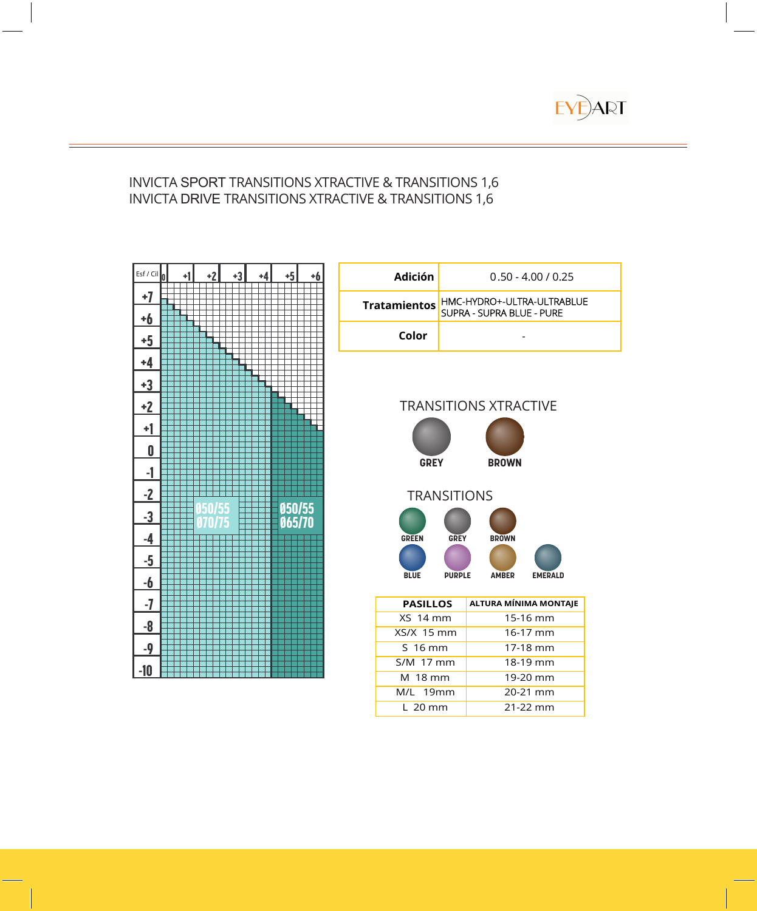

### INVICTA SPORT TRANSITIONS XTRACTIVE & TRANSITIONS 1,6 INVICTA DRIVE TRANSITIONS XTRACTIVE & TRANSITIONS 1,6